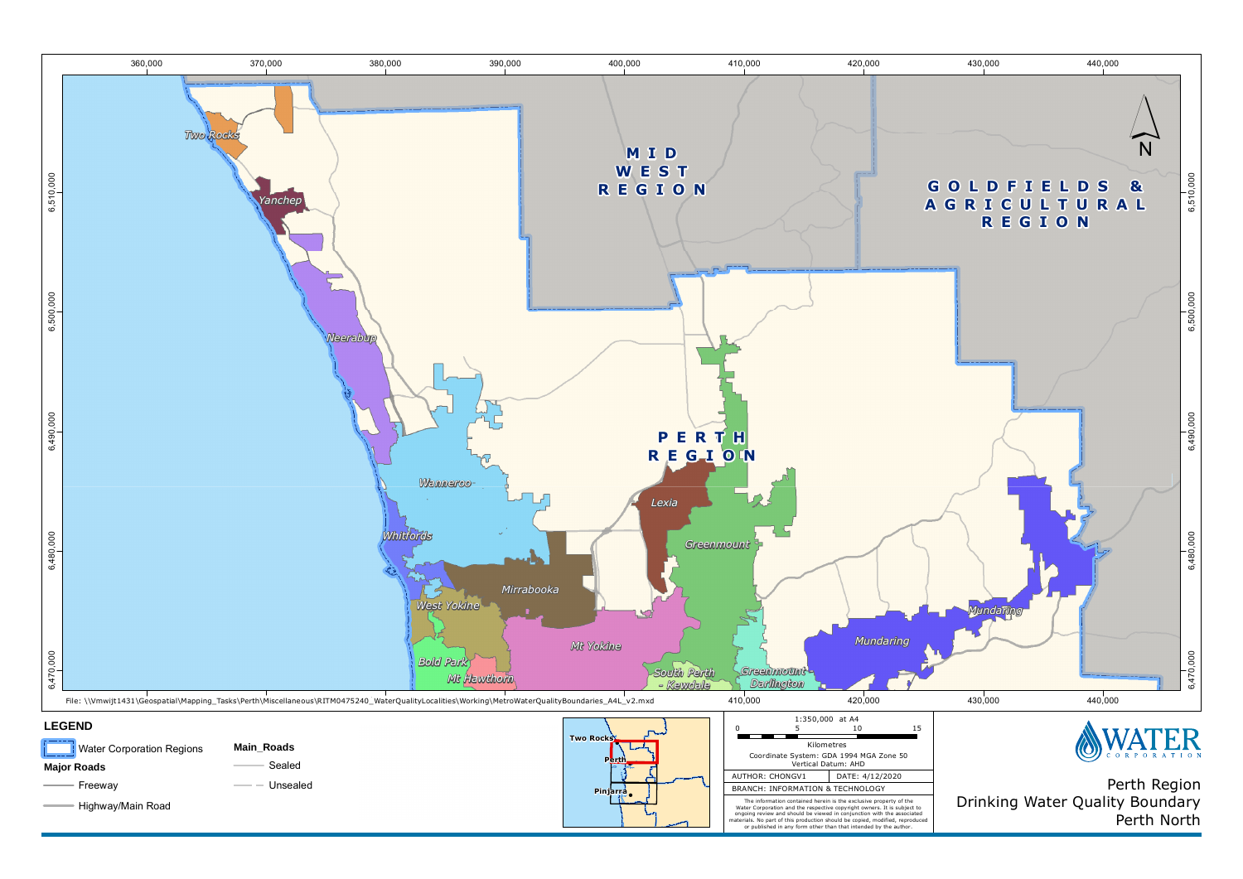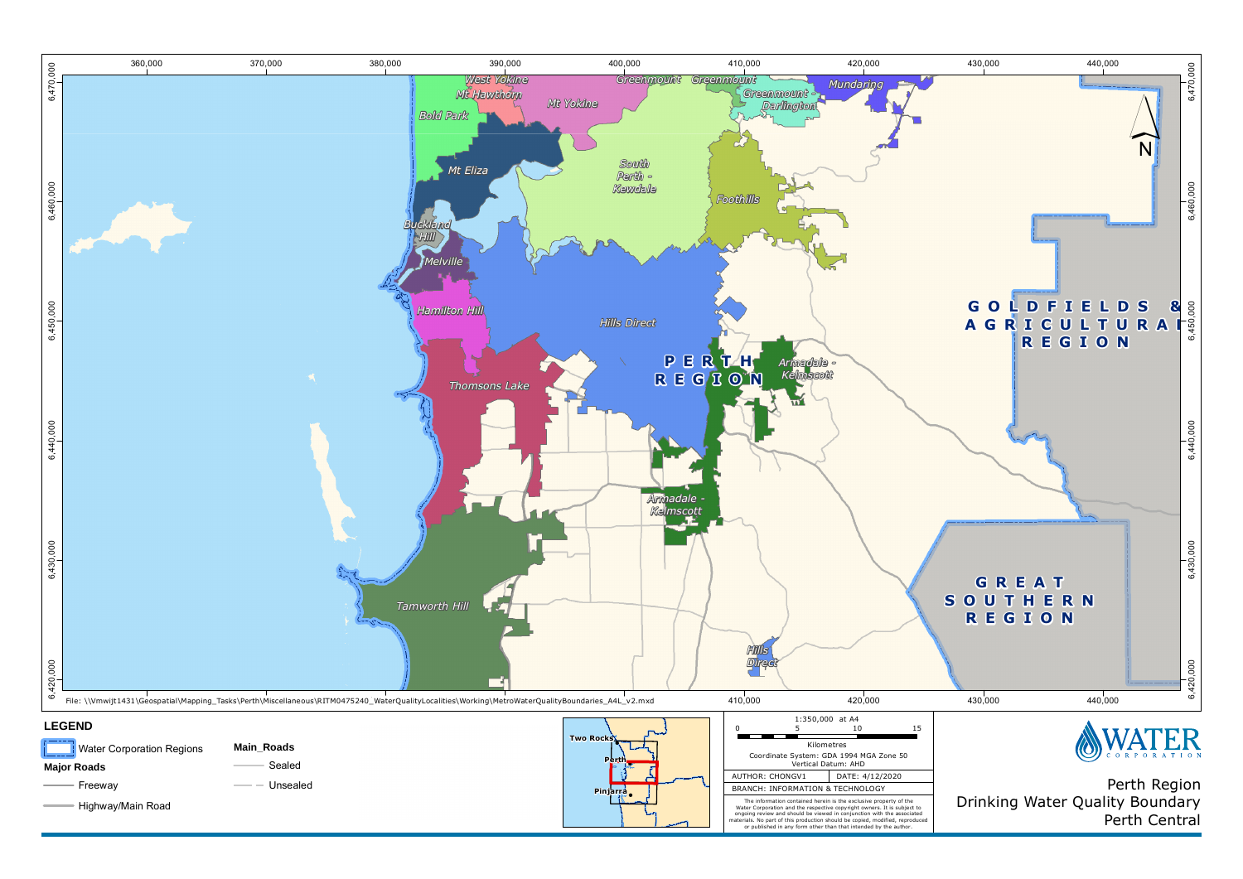